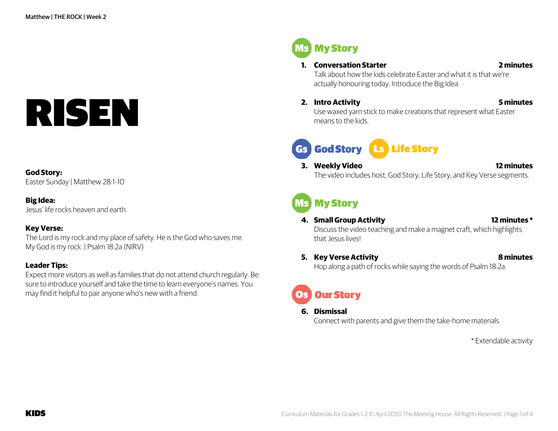# RISEN

#### **God Story:**

Easter Sunday | Matthew 28:1-10

#### **Big Idea:**

Jesus' life rocks heaven and earth.

#### **Key Verse:**

The Lord is my rock and my place of safety. He is the God who saves me. My God is my rock. | Psalm 18:2a (NIRV)

#### **Leader Tips:**

Expect more visitors as well as families that do not attend church regularly. Be sure to introduce yourself and take the time to learn everyone's names. You may find it helpful to pair anyone who's new with a friend.

**Ms** My Story

#### **1. Conversation Starter 2 minutes**

Talk about how the kids celebrate Easter and what it is that we're actually honouring today. Introduce the Big Idea.

**2. Intro Activity 5 minutes**

Use waxed yarn stick to make creations that represent what Easter means to the kids.

# Gs God Story Ls Life Story

**3. Weekly Video 12 minutes** The video includes host, God Story, Life Story, and Key Verse segments.

# **MS My Story**

**4. Small Group Activity 12 minutes \***

Discuss the video teaching and make a magnet craft, which highlights that Jesus lives!

**5. Key Verse Activity 8 minutes** Hop along a path of rocks while saying the words of Psalm 18:2a.

# **Our Story**

#### **6. Dismissal**

Connect with parents and give them the take-home materials.

\* Extendable activity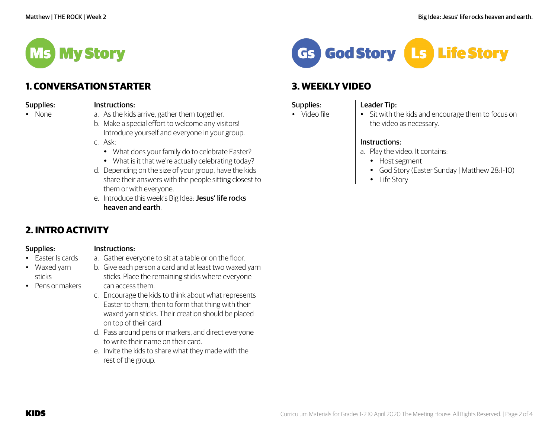

# **1. CONVERSATION STARTER**

| Supplies: |  |
|-----------|--|
| مصملدا    |  |

#### Instructions:

• None

- a. As the kids arrive, gather them together.
- b. Make a special effort to welcome any visitors! Introduce yourself and everyone in your group.
- c. Ask:
	- What does your family do to celebrate Easter?
	- What is it that we're actually celebrating today?
- d. Depending on the size of your group, have the kids share their answers with the people sitting closest to them or with everyone.
- e. Introduce this week's Big Idea: Jesus' life rocks heaven and earth.

a. Gather everyone to sit at a table or on the floor.

# **2. INTRO ACTIVITY**

Supplies:

#### Instructions:

• Easter Is cards

- Waxed yarn sticks • Pens or makers
- b. Give each person a card and at least two waxed yarn sticks. Place the remaining sticks where everyone

## can access them.

- c. Encourage the kids to think about what represents Easter to them, then to form that thing with their waxed yarn sticks. Their creation should be placed on top of their card.
- d. Pass around pens or markers, and direct everyone to write their name on their card.
- e. Invite the kids to share what they made with the rest of the group.



# **3. WEEKLY VIDEO**

#### Supplies: • Video file

#### Leader Tip:

#### • Sit with the kids and encourage them to focus on the video as necessary.

#### Instructions:

- a. Play the video. It contains:
	- Host segment
	- God Story (Easter Sunday | Matthew 28:1-10)
	- Life Story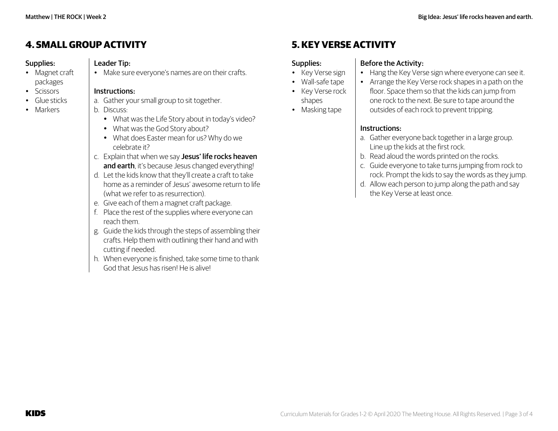## **4. SMALL GROUPACTIVITY**

#### Supplies: • Magnet craft

packages • Scissors • Glue sticks • Markers

#### Leader Tip:

• Make sure everyone's names are on their crafts.

#### Instructions:

a. Gather your small group to sit together.

#### b. Discuss:

- What was the Life Story about in today's video?
- What was the God Story about?
- What does Easter mean for us? Why do we celebrate it?
- c. Explain that when we say Jesus' life rocks heaven and earth, it's because Jesus changed everything!
- d. Let the kids know that they'll create a craft to take home as a reminder of Jesus' awesome return to life (what we refer to as resurrection).
- e. Give each of them a magnet craft package.
- f. Place the rest of the supplies where everyone can reach them.
- g. Guide the kids through the steps of assembling their crafts. Help them with outlining their hand and with cutting if needed.
- h. When everyone is finished, take some time to thank God that Jesus has risen! He is alive!

## **5. KEY VERSEACTIVITY**

#### Supplies:

- Key Verse sign
- Wall-safe tape • Key Verse rock
- shapes
- Masking tape

#### Instructions:

Before the Activity:

a. Gather everyone back together in a large group. Line up the kids at the first rock.

• Hang the Key Verse sign where everyone can see it. • Arrange the Key Verse rock shapes in a path on the floor. Space them so that the kids can jump from one rock to the next. Be sure to tape around the

b. Read aloud the words printed on the rocks.

outsides of each rock to prevent tripping.

- c. Guide everyone to take turns jumping from rock to rock. Prompt the kids to say the words as they jump.
- d. Allow each person to jump along the path and say the Key Verse at least once.